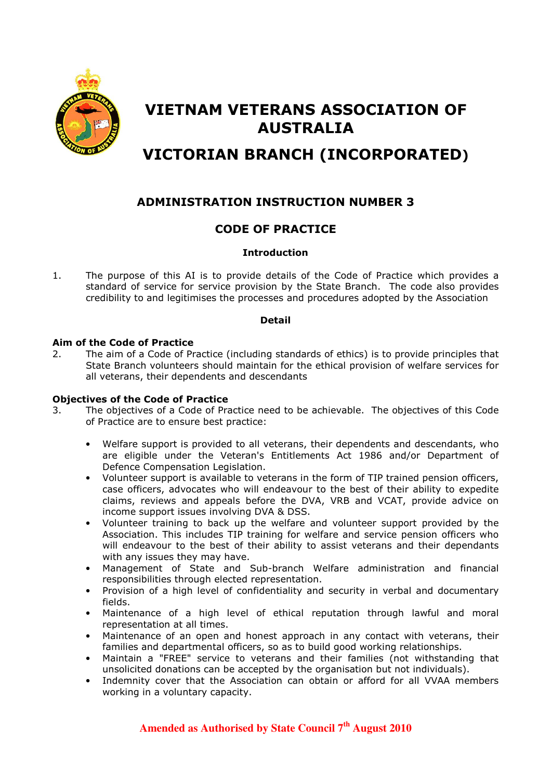

# VIETNAM VETERANS ASSOCIATION OF AUSTRALIA

# VICTORIAN BRANCH (INCORPORATED)

## ADMINISTRATION INSTRUCTION NUMBER 3

### CODE OF PRACTICE

#### **Introduction**

1. The purpose of this AI is to provide details of the Code of Practice which provides a standard of service for service provision by the State Branch. The code also provides credibility to and legitimises the processes and procedures adopted by the Association

#### Detail

#### Aim of the Code of Practice

2. The aim of a Code of Practice (including standards of ethics) is to provide principles that State Branch volunteers should maintain for the ethical provision of welfare services for all veterans, their dependents and descendants

#### Objectives of the Code of Practice

- 3. The objectives of a Code of Practice need to be achievable. The objectives of this Code of Practice are to ensure best practice:
	- Welfare support is provided to all veterans, their dependents and descendants, who are eligible under the Veteran's Entitlements Act 1986 and/or Department of Defence Compensation Legislation.
	- Volunteer support is available to veterans in the form of TIP trained pension officers, case officers, advocates who will endeavour to the best of their ability to expedite claims, reviews and appeals before the DVA, VRB and VCAT, provide advice on income support issues involving DVA & DSS.
	- Volunteer training to back up the welfare and volunteer support provided by the Association. This includes TIP training for welfare and service pension officers who will endeavour to the best of their ability to assist veterans and their dependants with any issues they may have.
	- Management of State and Sub-branch Welfare administration and financial responsibilities through elected representation.
	- Provision of a high level of confidentiality and security in verbal and documentary fields.
	- Maintenance of a high level of ethical reputation through lawful and moral representation at all times.
	- Maintenance of an open and honest approach in any contact with veterans, their families and departmental officers, so as to build good working relationships.
	- Maintain a "FREE" service to veterans and their families (not withstanding that unsolicited donations can be accepted by the organisation but not individuals).
	- Indemnity cover that the Association can obtain or afford for all VVAA members working in a voluntary capacity.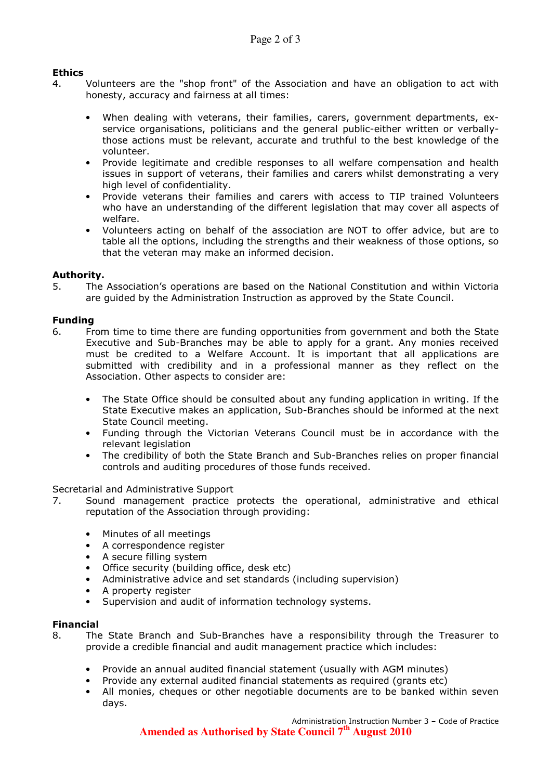#### Ethics

- 4. Volunteers are the "shop front" of the Association and have an obligation to act with honesty, accuracy and fairness at all times:
	- When dealing with veterans, their families, carers, government departments, exservice organisations, politicians and the general public-either written or verballythose actions must be relevant, accurate and truthful to the best knowledge of the volunteer.
	- Provide legitimate and credible responses to all welfare compensation and health issues in support of veterans, their families and carers whilst demonstrating a very high level of confidentiality.
	- Provide veterans their families and carers with access to TIP trained Volunteers who have an understanding of the different legislation that may cover all aspects of welfare.
	- Volunteers acting on behalf of the association are NOT to offer advice, but are to table all the options, including the strengths and their weakness of those options, so that the veteran may make an informed decision.

#### Authority.

5. The Association's operations are based on the National Constitution and within Victoria are guided by the Administration Instruction as approved by the State Council.

#### Funding

- 6. From time to time there are funding opportunities from government and both the State Executive and Sub-Branches may be able to apply for a grant. Any monies received must be credited to a Welfare Account. It is important that all applications are submitted with credibility and in a professional manner as they reflect on the Association. Other aspects to consider are:
	- The State Office should be consulted about any funding application in writing. If the State Executive makes an application, Sub-Branches should be informed at the next State Council meeting.
	- Funding through the Victorian Veterans Council must be in accordance with the relevant legislation
	- The credibility of both the State Branch and Sub-Branches relies on proper financial controls and auditing procedures of those funds received.

#### Secretarial and Administrative Support

- 7. Sound management practice protects the operational, administrative and ethical reputation of the Association through providing:
	- Minutes of all meetings
	- A correspondence register
	- A secure filling system
	- Office security (building office, desk etc)
	- Administrative advice and set standards (including supervision)
	- A property register
	- Supervision and audit of information technology systems.

#### Financial

- 8. The State Branch and Sub-Branches have a responsibility through the Treasurer to provide a credible financial and audit management practice which includes:
	- Provide an annual audited financial statement (usually with AGM minutes)
	- Provide any external audited financial statements as required (grants etc)
	- All monies, cheques or other negotiable documents are to be banked within seven days.